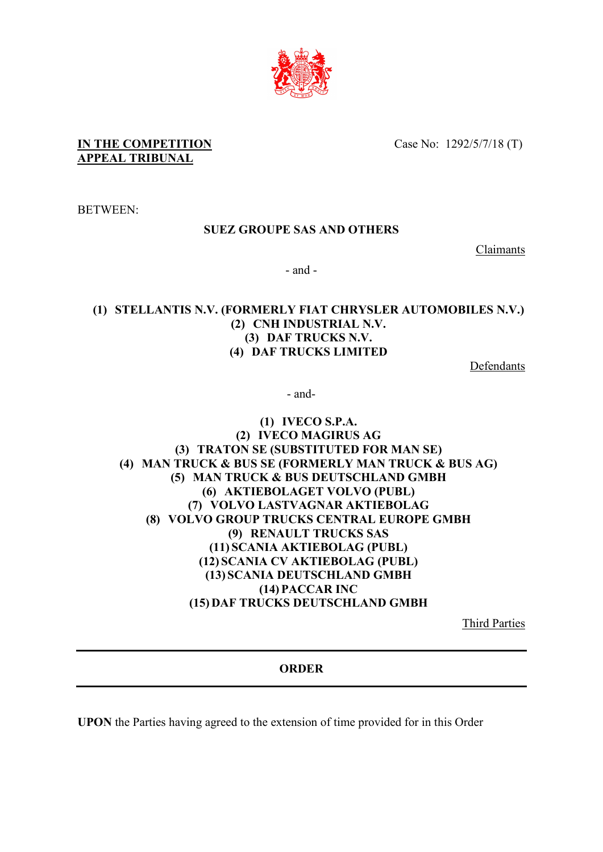

**IN THE COMPETITION APPEAL TRIBUNAL**

Case No: 1292/5/7/18 (T)

BETWEEN:

## **SUEZ GROUPE SAS AND OTHERS**

Claimants

- and -

## **(1) STELLANTIS N.V. (FORMERLY FIAT CHRYSLER AUTOMOBILES N.V.) (2) CNH INDUSTRIAL N.V. (3) DAF TRUCKS N.V. (4) DAF TRUCKS LIMITED**

Defendants

- and-

## **(1) IVECO S.P.A. (2) IVECO MAGIRUS AG (3) TRATON SE (SUBSTITUTED FOR MAN SE) (4) MAN TRUCK & BUS SE (FORMERLY MAN TRUCK & BUS AG) (5) MAN TRUCK & BUS DEUTSCHLAND GMBH (6) AKTIEBOLAGET VOLVO (PUBL) (7) VOLVO LASTVAGNAR AKTIEBOLAG (8) VOLVO GROUP TRUCKS CENTRAL EUROPE GMBH (9) RENAULT TRUCKS SAS (11) SCANIA AKTIEBOLAG (PUBL) (12) SCANIA CV AKTIEBOLAG (PUBL) (13) SCANIA DEUTSCHLAND GMBH (14) PACCAR INC (15) DAF TRUCKS DEUTSCHLAND GMBH**

Third Parties

**ORDER**

**UPON** the Parties having agreed to the extension of time provided for in this Order